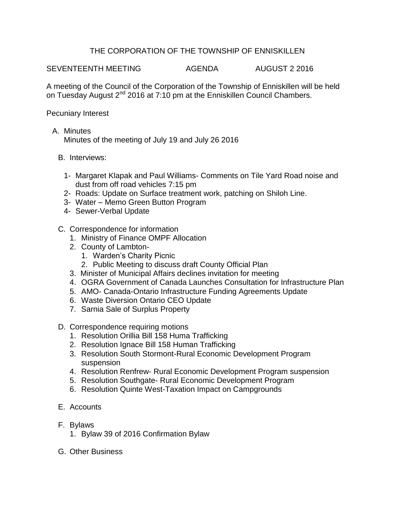## THE CORPORATION OF THE TOWNSHIP OF ENNISKILLEN

SEVENTEENTH MEETING AGENDA AUGUST 2 2016

A meeting of the Council of the Corporation of the Township of Enniskillen will be held on Tuesday August 2<sup>nd</sup> 2016 at 7:10 pm at the Enniskillen Council Chambers.

Pecuniary Interest

A. Minutes

Minutes of the meeting of July 19 and July 26 2016

- B. Interviews:
	- 1- Margaret Klapak and Paul Williams- Comments on Tile Yard Road noise and dust from off road vehicles 7:15 pm
	- 2- Roads: Update on Surface treatment work, patching on Shiloh Line.
	- 3- Water Memo Green Button Program
	- 4- Sewer-Verbal Update
- C. Correspondence for information
	- 1. Ministry of Finance OMPF Allocation
	- 2. County of Lambton-
		- 1. Warden's Charity Picnic
		- 2. Public Meeting to discuss draft County Official Plan
	- 3. Minister of Municipal Affairs declines invitation for meeting
	- 4. OGRA Government of Canada Launches Consultation for Infrastructure Plan
	- 5. AMO- Canada-Ontario Infrastructure Funding Agreements Update
	- 6. Waste Diversion Ontario CEO Update
	- 7. Sarnia Sale of Surplus Property
- D. Correspondence requiring motions
	- 1. Resolution Orillia Bill 158 Huma Trafficking
	- 2. Resolution Ignace Bill 158 Human Trafficking
	- 3. Resolution South Stormont-Rural Economic Development Program suspension
	- 4. Resolution Renfrew- Rural Economic Development Program suspension
	- 5. Resolution Southgate- Rural Economic Development Program
	- 6. Resolution Quinte West-Taxation Impact on Campgrounds
- E. Accounts
- F. Bylaws
	- 1. Bylaw 39 of 2016 Confirmation Bylaw
- G. Other Business